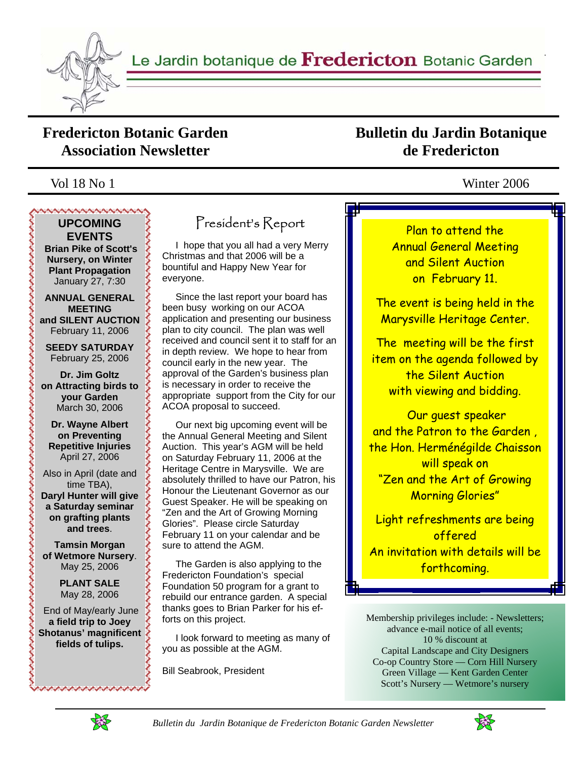

### **Fredericton Botanic Garden Association Newsletter**

## **Bulletin du Jardin Botanique de Fredericton**

### Vol 18 No 1 Winter 2006

### くくくくくくくくくく **UPCOMING EVENTS**

 **Brian Pike of Scott's Nursery, on Winter Plant Propagation**  January 27, 7:30

**ANNUAL GENERAL MEETING and SILENT AUCTION**  February 11, 2006

**SEEDY SATURDAY**  February 25, 2006

**Dr. Jim Goltz on Attracting birds to your Garden** March 30, 2006

**Dr. Wayne Albert on Preventing Repetitive Injuries**  April 27, 2006

うくうきょう きょうきょう

Also in April (date and time TBA), **Daryl Hunter will give a Saturday seminar on grafting plants and trees**.

**Tamsin Morgan of Wetmore Nursery**. May 25, 2006

> **PLANT SALE**  May 28, 2006

 End of May/early June **a field trip to Joey Shotanus' magnificent fields of tulips.** 

## President's Report

 I hope that you all had a very Merry Christmas and that 2006 will be a bountiful and Happy New Year for everyone.

 Since the last report your board has been busy working on our ACOA application and presenting our business plan to city council. The plan was well received and council sent it to staff for an in depth review. We hope to hear from council early in the new year. The approval of the Garden's business plan is necessary in order to receive the appropriate support from the City for our ACOA proposal to succeed.

 Our next big upcoming event will be the Annual General Meeting and Silent Auction. This year's AGM will be held on Saturday February 11, 2006 at the Heritage Centre in Marysville. We are absolutely thrilled to have our Patron, his Honour the Lieutenant Governor as our Guest Speaker. He will be speaking on "Zen and the Art of Growing Morning Glories". Please circle Saturday February 11 on your calendar and be sure to attend the AGM.

 The Garden is also applying to the Fredericton Foundation's special Foundation 50 program for a grant to rebuild our entrance garden. A special thanks goes to Brian Parker for his efforts on this project.

 I look forward to meeting as many of you as possible at the AGM.

Bill Seabrook, President

Plan to attend the Annual General Meeting and Silent Auction on February 11.

The event is being held in the Marysville Heritage Center.

The meeting will be the first item on the agenda followed by the Silent Auction with viewing and bidding.

 Our guest speaker and the Patron to the Garden , the Hon. Herménégilde Chaisson will speak on "Zen and the Art of Growing Morning Glories"

Light refreshments are being offered An invitation with details will be forthcoming.

Membership privileges include: - Newsletters; advance e-mail notice of all events; 10 % discount at Capital Landscape and City Designers Co-op Country Store — Corn Hill Nursery Green Village — Kent Garden Center Scott's Nursery — Wetmore's nursery



ひきすうすうすうすうすい

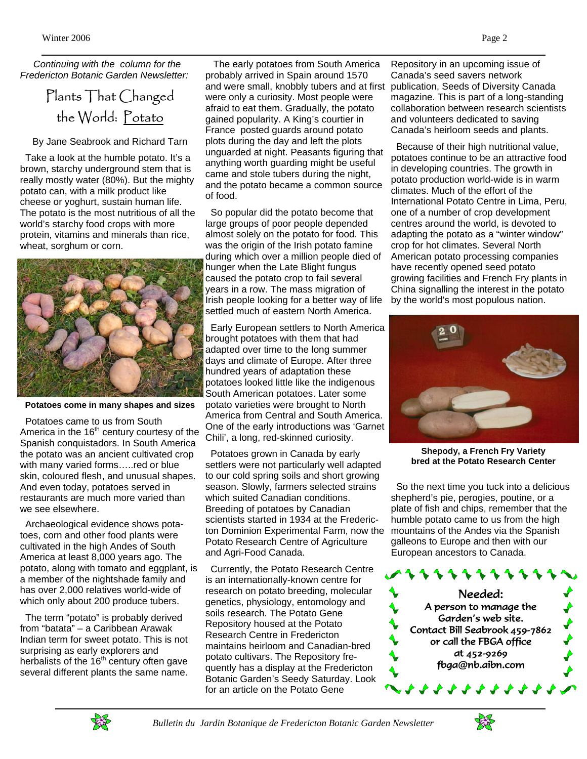*Continuing with the column for the Fredericton Botanic Garden Newsletter:* 

## Plants That Changed the World: Potato

By Jane Seabrook and Richard Tarn

 Take a look at the humble potato. It's a brown, starchy underground stem that is really mostly water (80%). But the mighty potato can, with a milk product like cheese or yoghurt, sustain human life. The potato is the most nutritious of all the world's starchy food crops with more protein, vitamins and minerals than rice, wheat, sorghum or corn.



**Potatoes come in many shapes and sizes** 

 Potatoes came to us from South America in the  $16<sup>th</sup>$  century courtesy of the Spanish conquistadors. In South America the potato was an ancient cultivated crop with many varied forms.....red or blue skin, coloured flesh, and unusual shapes. And even today, potatoes served in restaurants are much more varied than we see elsewhere.

 Archaeological evidence shows potatoes, corn and other food plants were cultivated in the high Andes of South America at least 8,000 years ago. The potato, along with tomato and eggplant, is a member of the nightshade family and has over 2,000 relatives world-wide of which only about 200 produce tubers.

 The term "potato" is probably derived from "batata" – a Caribbean Arawak Indian term for sweet potato. This is not surprising as early explorers and herbalists of the  $16<sup>th</sup>$  century often gave several different plants the same name.

 The early potatoes from South America probably arrived in Spain around 1570 and were small, knobbly tubers and at first were only a curiosity. Most people were afraid to eat them. Gradually, the potato gained popularity. A King's courtier in France posted guards around potato plots during the day and left the plots unguarded at night. Peasants figuring that anything worth guarding might be useful came and stole tubers during the night, and the potato became a common source of food.

 So popular did the potato become that large groups of poor people depended almost solely on the potato for food. This was the origin of the Irish potato famine during which over a million people died of hunger when the Late Blight fungus caused the potato crop to fail several years in a row. The mass migration of Irish people looking for a better way of life settled much of eastern North America.

 Early European settlers to North America brought potatoes with them that had adapted over time to the long summer days and climate of Europe. After three hundred years of adaptation these potatoes looked little like the indigenous South American potatoes. Later some potato varieties were brought to North America from Central and South America. One of the early introductions was 'Garnet Chili', a long, red-skinned curiosity.

 Potatoes grown in Canada by early settlers were not particularly well adapted to our cold spring soils and short growing season. Slowly, farmers selected strains which suited Canadian conditions. Breeding of potatoes by Canadian scientists started in 1934 at the Fredericton Dominion Experimental Farm, now the Potato Research Centre of Agriculture and Agri-Food Canada.

 Currently, the Potato Research Centre is an internationally-known centre for research on potato breeding, molecular genetics, physiology, entomology and soils research. The Potato Gene Repository housed at the Potato Research Centre in Fredericton maintains heirloom and Canadian-bred potato cultivars. The Repository frequently has a display at the Fredericton Botanic Garden's Seedy Saturday. Look for an article on the Potato Gene

Repository in an upcoming issue of Canada's seed savers network publication, Seeds of Diversity Canada magazine. This is part of a long-standing collaboration between research scientists and volunteers dedicated to saving Canada's heirloom seeds and plants.

 Because of their high nutritional value, potatoes continue to be an attractive food in developing countries. The growth in potato production world-wide is in warm climates. Much of the effort of the International Potato Centre in Lima, Peru, one of a number of crop development centres around the world, is devoted to adapting the potato as a "winter window" crop for hot climates. Several North American potato processing companies have recently opened seed potato growing facilities and French Fry plants in China signalling the interest in the potato by the world's most populous nation.



**Shepody, a French Fry Variety bred at the Potato Research Center** 

 So the next time you tuck into a delicious shepherd's pie, perogies, poutine, or a plate of fish and chips, remember that the humble potato came to us from the high mountains of the Andes via the Spanish galleons to Europe and then with our European ancestors to Canada.







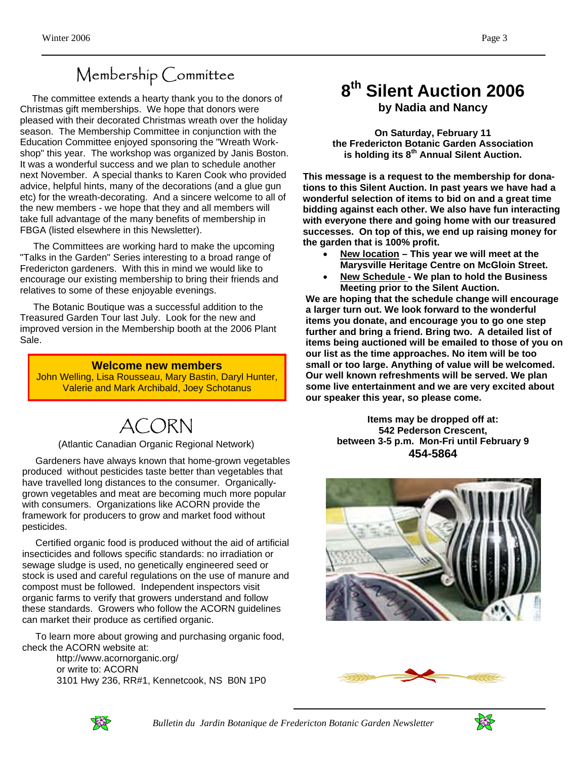# Membership Committee

 The committee extends a hearty thank you to the donors of Christmas gift memberships. We hope that donors were pleased with their decorated Christmas wreath over the holiday season. The Membership Committee in conjunction with the Education Committee enjoyed sponsoring the "Wreath Workshop" this year. The workshop was organized by Janis Boston. It was a wonderful success and we plan to schedule another next November. A special thanks to Karen Cook who provided advice, helpful hints, many of the decorations (and a glue gun etc) for the wreath-decorating. And a sincere welcome to all of the new members - we hope that they and all members will take full advantage of the many benefits of membership in FBGA (listed elsewhere in this Newsletter).

 The Committees are working hard to make the upcoming "Talks in the Garden" Series interesting to a broad range of Fredericton gardeners. With this in mind we would like to encourage our existing membership to bring their friends and relatives to some of these enjoyable evenings.

 The Botanic Boutique was a successful addition to the Treasured Garden Tour last July. Look for the new and improved version in the Membership booth at the 2006 Plant Sale.

**Welcome new members**  John Welling, Lisa Rousseau, Mary Bastin, Daryl Hunter, Valerie and Mark Archibald, Joey Schotanus

# ACORN

#### (Atlantic Canadian Organic Regional Network)

 Gardeners have always known that home-grown vegetables produced without pesticides taste better than vegetables that have travelled long distances to the consumer. Organicallygrown vegetables and meat are becoming much more popular with consumers. Organizations like ACORN provide the framework for producers to grow and market food without pesticides.

 Certified organic food is produced without the aid of artificial insecticides and follows specific standards: no irradiation or sewage sludge is used, no genetically engineered seed or stock is used and careful regulations on the use of manure and compost must be followed. Independent inspectors visit organic farms to verify that growers understand and follow these standards. Growers who follow the ACORN guidelines can market their produce as certified organic.

 To learn more about growing and purchasing organic food, check the ACORN website at:

 http://www.acornorganic.org/ or write to: ACORN 3101 Hwy 236, RR#1, Kennetcook, NS B0N 1P0

### **8th Silent Auction 2006 by Nadia and Nancy**

**On Saturday, February 11 the Fredericton Botanic Garden Association is holding its 8th Annual Silent Auction.** 

**This message is a request to the membership for donations to this Silent Auction. In past years we have had a wonderful selection of items to bid on and a great time bidding against each other. We also have fun interacting with everyone there and going home with our treasured successes. On top of this, we end up raising money for the garden that is 100% profit.** 

- **New location This year we will meet at the Marysville Heritage Centre on McGloin Street.**
- **New Schedule We plan to hold the Business Meeting prior to the Silent Auction.**

**We are hoping that the schedule change will encourage a larger turn out. We look forward to the wonderful items you donate, and encourage you to go one step further and bring a friend. Bring two. A detailed list of items being auctioned will be emailed to those of you on our list as the time approaches. No item will be too small or too large. Anything of value will be welcomed. Our well known refreshments will be served. We plan some live entertainment and we are very excited about our speaker this year, so please come.** 

> **Items may be dropped off at: 542 Pederson Crescent, between 3-5 p.m. Mon-Fri until February 9 454-5864**